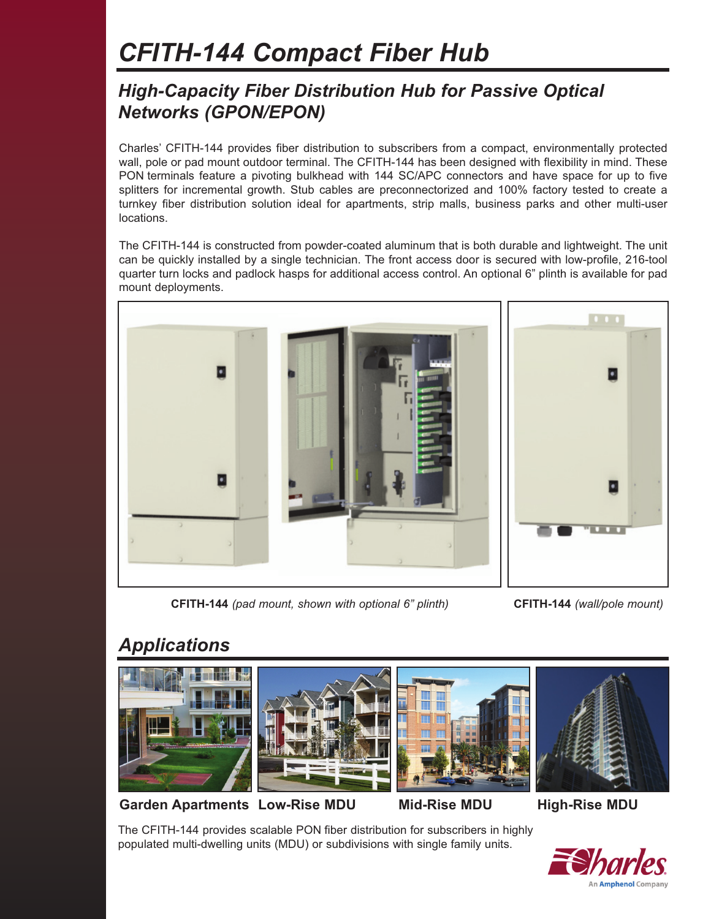# *CFITH-144 Compact Fiber Hub*

#### *High-Capacity Fiber Distribution Hub for Passive Optical Networks (GPON/EPON)*

Charles' CFITH-144 provides fiber distribution to subscribers from a compact, environmentally protected wall, pole or pad mount outdoor terminal. The CFITH-144 has been designed with flexibility in mind. These PON terminals feature a pivoting bulkhead with 144 SC/APC connectors and have space for up to five splitters for incremental growth. Stub cables are preconnectorized and 100% factory tested to create a turnkey fiber distribution solution ideal for apartments, strip malls, business parks and other multi-user locations.

The CFITH-144 is constructed from powder-coated aluminum that is both durable and lightweight. The unit can be quickly installed by a single technician. The front access door is secured with low-profile, 216-tool quarter turn locks and padlock hasps for additional access control. An optional 6" plinth is available for pad mount deployments.







**CFITH-144** *(wall/pole mount)*

## *Applications*









**Garden Apartments Low-Rise MDU Mid-Rise MDU High-Rise MDU**

The CFITH-144 provides scalable PON fiber distribution for subscribers in highly populated multi-dwelling units (MDU) or subdivisions with single family units.

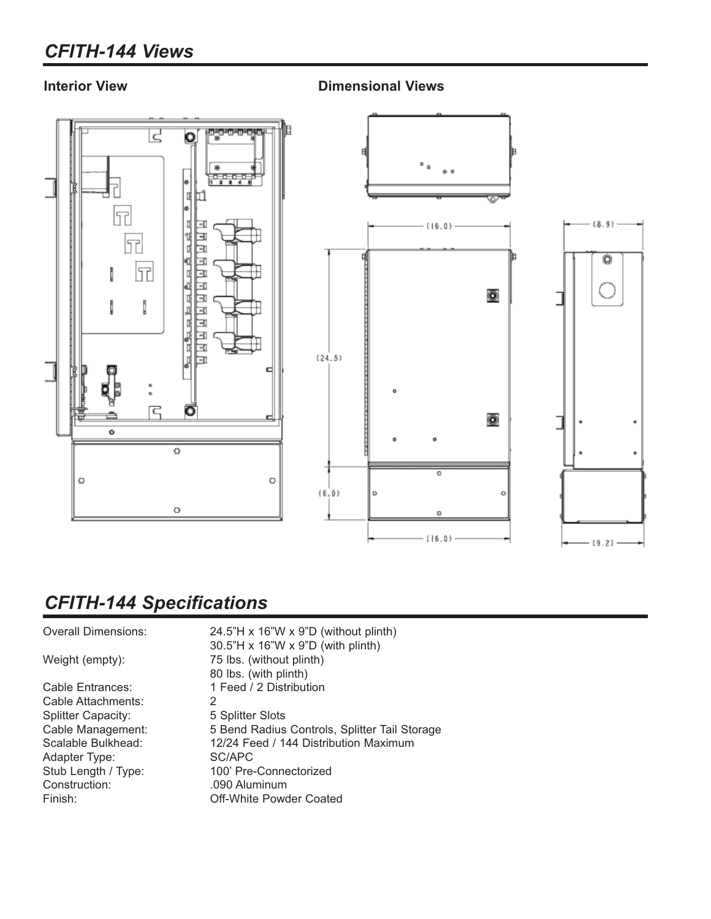## *CFITH-144 Views*

**Interior View Dimensional Views**



## *CFITH-144 Specifications*

| <b>Overall Dimensions:</b> | 24.5"H x 16"W x 9"D (without plinth)          |
|----------------------------|-----------------------------------------------|
|                            | 30.5"H x 16"W x 9"D (with plinth)             |
| Weight (empty):            | 75 lbs. (without plinth)                      |
|                            | 80 lbs. (with plinth)                         |
| Cable Entrances:           | 1 Feed / 2 Distribution                       |
| Cable Attachments:         | 2                                             |
| <b>Splitter Capacity:</b>  | 5 Splitter Slots                              |
| Cable Management:          | 5 Bend Radius Controls, Splitter Tail Storage |
| Scalable Bulkhead:         | 12/24 Feed / 144 Distribution Maximum         |
| Adapter Type:              | SC/APC                                        |
| Stub Length / Type:        | 100' Pre-Connectorized                        |
| Construction:              | .090 Aluminum                                 |
| Finish:                    | Off-White Powder Coated                       |
|                            |                                               |